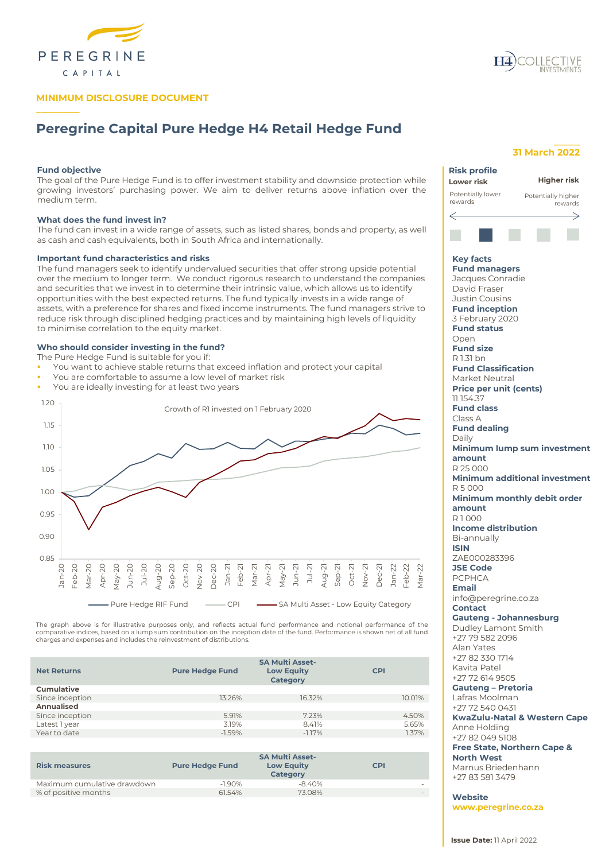

# **MINIMUM DISCLOSURE DOCUMENT**

# **Peregrine Capital Pure Hedge H4 Retail Hedge Fund**

# **Fund objective**

**\_\_\_\_\_\_\_\_\_\_**

The goal of the Pure Hedge Fund is to offer investment stability and downside protection while growing investors' purchasing power. We aim to deliver returns above inflation over the medium term.

# **What does the fund invest in?**

The fund can invest in a wide range of assets, such as listed shares, bonds and property, as well as cash and cash equivalents, both in South Africa and internationally.

#### **Important fund characteristics and risks**

The fund managers seek to identify undervalued securities that offer strong upside potential over the medium to longer term. We conduct rigorous research to understand the companies and securities that we invest in to determine their intrinsic value, which allows us to identify opportunities with the best expected returns. The fund typically invests in a wide range of assets, with a preference for shares and fixed income instruments. The fund managers strive to reduce risk through disciplined hedging practices and by maintaining high levels of liquidity to minimise correlation to the equity market.

### **Who should consider investing in the fund?**

The Pure Hedge Fund is suitable for you if:

- You want to achieve stable returns that exceed inflation and protect your capital
- You are comfortable to assume a low level of market risk
- You are ideally investing for at least two years



The graph above is for illustrative purposes only, and reflects actual fund performance and notional performance of the<br>comparative indices, based on a lump sum contribution on the inception date of the fund. Performance i charges and expenses and includes the reinvestment of distributions.

| <b>Net Returns</b> | <b>Pure Hedge Fund</b> | <b>SA Multi Asset-</b><br><b>Low Equity</b><br>Category | <b>CPI</b> |
|--------------------|------------------------|---------------------------------------------------------|------------|
| <b>Cumulative</b>  |                        |                                                         |            |
| Since inception    | 13.26%                 | 16.32%                                                  | 10.01%     |
| Annualised         |                        |                                                         |            |
| Since inception    | 5.91%                  | 7.23%                                                   | 4.50%      |
| Latest 1 year      | 3.19%                  | 8.41%                                                   | 5.65%      |
| Year to date       | $-1.59%$               | $-1.17%$                                                | 1.37%      |
|                    |                        |                                                         |            |

| <b>Risk measures</b>        | <b>Pure Hedge Fund</b> | <b>SA Multi Asset-</b><br><b>Low Equity</b><br><b>Category</b> | <b>CPI</b> |
|-----------------------------|------------------------|----------------------------------------------------------------|------------|
| Maximum cumulative drawdown | $-1.90%$               | $-8.40%$                                                       |            |
| % of positive months        | 61.54%                 | 73.08%                                                         |            |

# **\_\_\_\_\_\_ 31 March 2022**

# **Risk profile Higher riskLower risk** Potentially lower Potentially higher rewards rewards ⇐ **Key facts Fund managers** Jacques Conradie David Fraser Justin Cousins **Fund inception** 3 February 2020 **Fund status** Open **Fund size** R 1.31 bn **Fund Classification** Market Neutral **Price per unit (cents)** 11 154.37 **Fund class** Class A **Fund dealing** Daily **Minimum lump sum investment amount** R 25 000 **Minimum additional investment** R 5 000 **Minimum monthly debit order amount** R 1 000 **Income distribution** Bi-annually **ISIN** ZAE000283396 **JSE Code** PCPHCA **Email** info@peregrine.co.za **Contact Gauteng - Johannesburg** Dudley Lamont Smith +27 79 582 2096 Alan Yates +27 82 330 1714 Kavita Patel +27 72 614 9505 **Gauteng – Pretoria** Lafras Moolman +27 72 540 0431 **KwaZulu-Natal & Western Cape** Anne Holding +27 82 049 5108

**Free State, Northern Cape & North West**

Marnus Briedenhann +27 83 581 3479

**Website www.peregrine.co.za**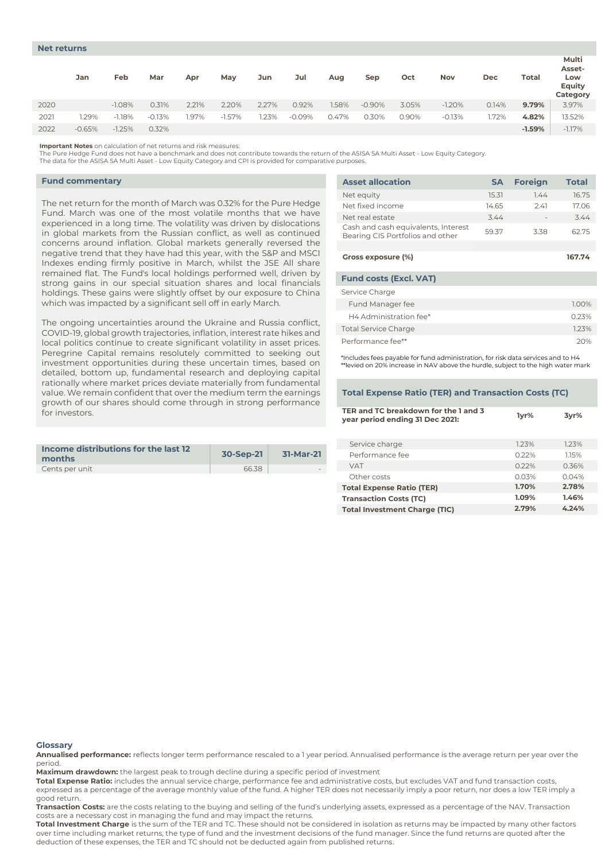# **Net returns**

|      | Jan      | Feb      | Mar      | Apr   | May      | Jun   | Jul      | Aug   | Sep      | Oct   | Nov      | Dec   | <b>Total</b> | Multi<br>Asset-<br>Low<br><b>Equity</b><br>Category |
|------|----------|----------|----------|-------|----------|-------|----------|-------|----------|-------|----------|-------|--------------|-----------------------------------------------------|
| 2020 |          | $-1.08%$ | 0.31%    | 2.21% | 2.20%    | 2.27% | 0.92%    | 1.58% | $-0.90%$ | 3.05% | $-1.20%$ | 0.14% | 9.79%        | 3.97%                                               |
| 2021 | .29%     | $-1.18%$ | $-0.13%$ | .97%  | $-1.57%$ | .23%  | $-0.09%$ | 0.47% | 0.30%    | 0.90% | $-0.13%$ | 1.72% | 4.82%        | 13.52%                                              |
| 2022 | $-0.65%$ | $-1.25%$ | 0.32%    |       |          |       |          |       |          |       |          |       | $-1.59%$     | $-1.17%$                                            |

**Important Notes** on calculation of net returns and risk measures:

The Pure Hedge Fund does not have a benchmark and does not contribute towards the return of the ASISA SA Multi Asset - Low Equity Category.

The data for the ASISA SA Multi Asset - Low Equity Category and CPI is provided for comparative purposes.

### **Fund commentary**

The net return for the month of March was 0.32% for the Pure Hedge Fund. March was one of the most volatile months that we have experienced in a long time. The volatility was driven by dislocations in global markets from the Russian conflict, as well as continued concerns around inflation. Global markets generally reversed the negative trend that they have had this year, with the S&P and MSCI Indexes ending firmly positive in March, whilst the JSE All share remained flat. The Fund's local holdings performed well, driven by strong gains in our special situation shares and local financials holdings. These gains were slightly offset by our exposure to China which was impacted by a significant sell off in early March.

The ongoing uncertainties around the Ukraine and Russia conflict, COVID-19, global growth trajectories, inflation, interest rate hikes and local politics continue to create significant volatility in asset prices. Peregrine Capital remains resolutely committed to seeking out investment opportunities during these uncertain times, based on detailed, bottom up, fundamental research and deploying capital rationally where market prices deviate materially from fundamental value. We remain confident that over the medium term the earnings growth of our shares should come through in strong performance for investors.

| Income distributions for the last 12<br>months | 30-Sep-21 | 31-Mar-21 |
|------------------------------------------------|-----------|-----------|
| Cents per unit                                 | 66.38     | $\sim$    |

| <b>Asset allocation</b>                                                 | <b>SA</b> | <b>Foreign</b> | <b>Total</b> |
|-------------------------------------------------------------------------|-----------|----------------|--------------|
| Net equity                                                              | 15.31     | 7.44           | 16.75        |
| Net fixed income                                                        | 14.65     | 2.41           | 17.06        |
| Net real estate                                                         | 3.44      |                | 3.44         |
| Cash and cash equivalents, Interest<br>Bearing CIS Portfolios and other | 59.37     | 3.38           | 62.75        |
|                                                                         |           |                |              |
| Gross exposure (%)                                                      |           |                | 167.74       |
| <b>Fund costs (Excl. VAT)</b>                                           |           |                |              |
| Service Charge                                                          |           |                |              |
| Fund Manager fee                                                        |           |                | 1.00%        |
| H4 Administration fee*                                                  |           |                | 0.23%        |
| <b>Total Service Charge</b>                                             |           |                | 1.23%        |
| Performance fee**                                                       |           |                | 20%          |

\*Includes fees payable for fund administration, for risk data services and to H4 \*\*levied on 20% increase in NAV above the hurdle, subject to the high water mark

#### **Total Expense Ratio (TER) and Transaction Costs (TC)**

| TER and TC breakdown for the 1 and 3<br>year period ending 31 Dec 2021: | 1vr%  | 3vr%  |
|-------------------------------------------------------------------------|-------|-------|
| Service charge                                                          | 1.23% | 1.23% |
| Performance fee                                                         | 0.22% | 1.15% |
| <b>VAT</b>                                                              | 0.22% | 0.36% |
| Other costs                                                             | 0.03% | 0.04% |
| <b>Total Expense Ratio (TER)</b>                                        | 1.70% | 2.78% |
| <b>Transaction Costs (TC)</b>                                           | 1.09% | 1.46% |
| <b>Total Investment Charge (TIC)</b>                                    | 2.79% | 4.24% |

#### **Glossary**

**Annualised performance:** reflects longer term performance rescaled to a 1 year period. Annualised performance is the average return per year over the period.

**Maximum drawdown:** the largest peak to trough decline during a specific period of investment

**Total Expense Ratio:** includes the annual service charge, performance fee and administrative costs, but excludes VAT and fund transaction costs,

expressed as a percentage of the average monthly value of the fund. A higher TER does not necessarily imply a poor return, nor does a low TER imply a good return.

**Transaction Costs:** are the costs relating to the buying and selling of the fund's underlying assets, expressed as a percentage of the NAV. Transaction costs are a necessary cost in managing the fund and may impact the returns.

**Total Investment Charge** is the sum of the TER and TC. These should not be considered in isolation as returns may be impacted by many other factors over time including market returns, the type of fund and the investment decisions of the fund manager. Since the fund returns are quoted after the deduction of these expenses, the TER and TC should not be deducted again from published returns.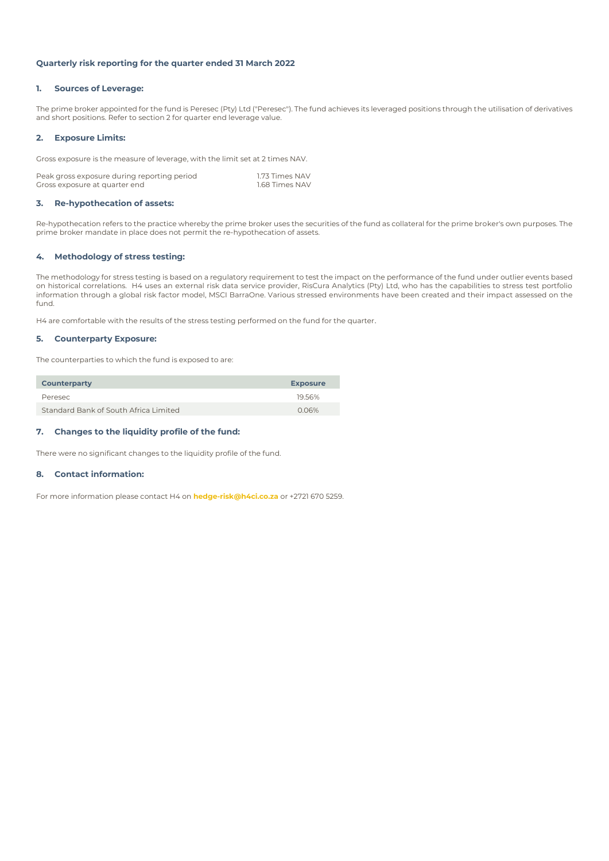# **Quarterly risk reporting for the quarter ended 31 March 2022**

# **1. Sources of Leverage:**

The prime broker appointed for the fund is Peresec (Pty) Ltd ("Peresec"). The fund achieves its leveraged positions through the utilisation of derivatives and short positions. Refer to section 2 for quarter end leverage value.

# **2. Exposure Limits:**

Gross exposure is the measure of leverage, with the limit set at 2 times NAV.

| Peak gross exposure during reporting period | 1.73 Times NAV |
|---------------------------------------------|----------------|
| Gross exposure at quarter end               | 1.68 Times NAV |

# **3. Re-hypothecation of assets:**

Re-hypothecation refers to the practice whereby the prime broker uses the securities of the fund as collateral for the prime broker's own purposes. The prime broker mandate in place does not permit the re-hypothecation of assets.

# **4. Methodology of stress testing:**

The methodology for stress testing is based on a regulatory requirement to test the impact on the performance of the fund under outlier events based on historical correlations. H4 uses an external risk data service provider, RisCura Analytics (Pty) Ltd, who has the capabilities to stress test portfolio information through a global risk factor model, MSCI BarraOne. Various stressed environments have been created and their impact assessed on the fund.

H4 are comfortable with the results of the stress testing performed on the fund for the quarter.

### **5. Counterparty Exposure:**

The counterparties to which the fund is exposed to are:

| <b>Counterparty</b>                   | <b>Exposure</b> |
|---------------------------------------|-----------------|
| Peresec                               | 19.56%          |
| Standard Bank of South Africa Limited | 0.06%           |

# **7. Changes to the liquidity profile of the fund:**

There were no significant changes to the liquidity profile of the fund.

# **8. Contact information:**

For more information please contact H4 on **hedge-risk@h4ci.co.za** or +2721 670 5259.